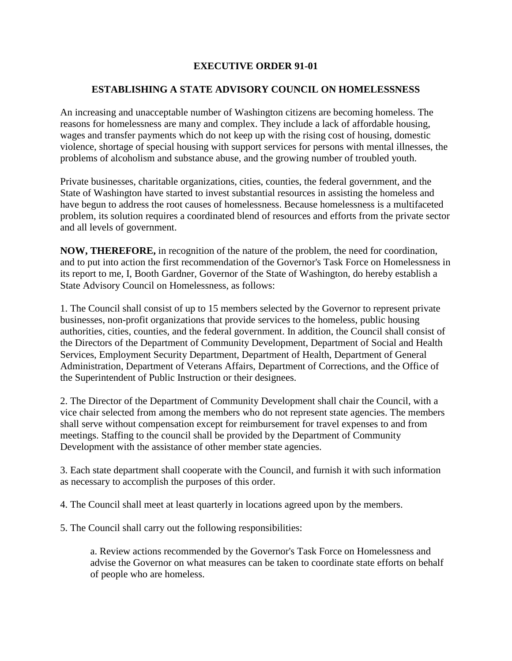## **EXECUTIVE ORDER 91-01**

## **ESTABLISHING A STATE ADVISORY COUNCIL ON HOMELESSNESS**

An increasing and unacceptable number of Washington citizens are becoming homeless. The reasons for homelessness are many and complex. They include a lack of affordable housing, wages and transfer payments which do not keep up with the rising cost of housing, domestic violence, shortage of special housing with support services for persons with mental illnesses, the problems of alcoholism and substance abuse, and the growing number of troubled youth.

Private businesses, charitable organizations, cities, counties, the federal government, and the State of Washington have started to invest substantial resources in assisting the homeless and have begun to address the root causes of homelessness. Because homelessness is a multifaceted problem, its solution requires a coordinated blend of resources and efforts from the private sector and all levels of government.

**NOW, THEREFORE,** in recognition of the nature of the problem, the need for coordination, and to put into action the first recommendation of the Governor's Task Force on Homelessness in its report to me, I, Booth Gardner, Governor of the State of Washington, do hereby establish a State Advisory Council on Homelessness, as follows:

1. The Council shall consist of up to 15 members selected by the Governor to represent private businesses, non-profit organizations that provide services to the homeless, public housing authorities, cities, counties, and the federal government. In addition, the Council shall consist of the Directors of the Department of Community Development, Department of Social and Health Services, Employment Security Department, Department of Health, Department of General Administration, Department of Veterans Affairs, Department of Corrections, and the Office of the Superintendent of Public Instruction or their designees.

2. The Director of the Department of Community Development shall chair the Council, with a vice chair selected from among the members who do not represent state agencies. The members shall serve without compensation except for reimbursement for travel expenses to and from meetings. Staffing to the council shall be provided by the Department of Community Development with the assistance of other member state agencies.

3. Each state department shall cooperate with the Council, and furnish it with such information as necessary to accomplish the purposes of this order.

4. The Council shall meet at least quarterly in locations agreed upon by the members.

5. The Council shall carry out the following responsibilities:

a. Review actions recommended by the Governor's Task Force on Homelessness and advise the Governor on what measures can be taken to coordinate state efforts on behalf of people who are homeless.